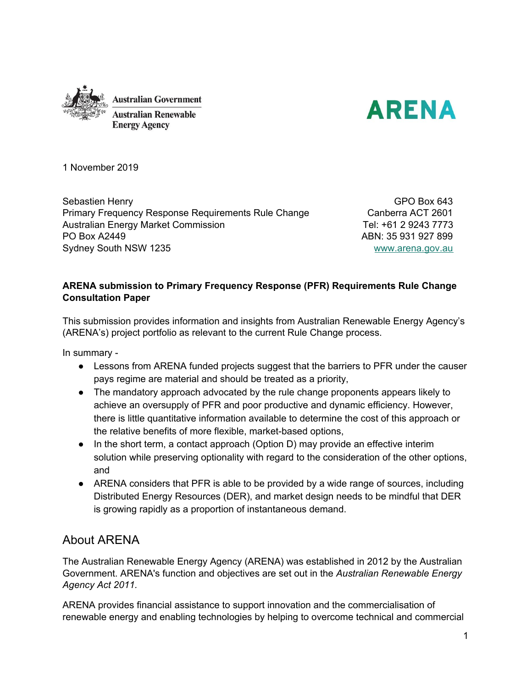



1 November 2019

Sebastien Henry Primary Frequency Response Requirements Rule Change Australian Energy Market Commission PO Box A2449 Sydney South NSW 1235

GPO Box 643 Canberra ACT 2601 Tel: +61 2 9243 7773 ABN: 35 931 927 899 [www.arena.gov.au](http://www.arena.gov.au/)

## **ARENA submission to Primary Frequency Response (PFR) Requirements Rule Change Consultation Paper**

This submission provides information and insights from Australian Renewable Energy Agency's (ARENA's) project portfolio as relevant to the current Rule Change process.

In summary -

- Lessons from ARENA funded projects suggest that the barriers to PFR under the causer pays regime are material and should be treated as a priority,
- The mandatory approach advocated by the rule change proponents appears likely to achieve an oversupply of PFR and poor productive and dynamic efficiency. However, there is little quantitative information available to determine the cost of this approach or the relative benefits of more flexible, market-based options,
- In the short term, a contact approach (Option D) may provide an effective interim solution while preserving optionality with regard to the consideration of the other options, and
- ARENA considers that PFR is able to be provided by a wide range of sources, including Distributed Energy Resources (DER), and market design needs to be mindful that DER is growing rapidly as a proportion of instantaneous demand.

## About ARENA

The Australian Renewable Energy Agency (ARENA) was established in 2012 by the Australian Government. ARENA's function and objectives are set out in the *Australian Renewable Energy Agency Act 2011.*

ARENA provides financial assistance to support innovation and the commercialisation of renewable energy and enabling technologies by helping to overcome technical and commercial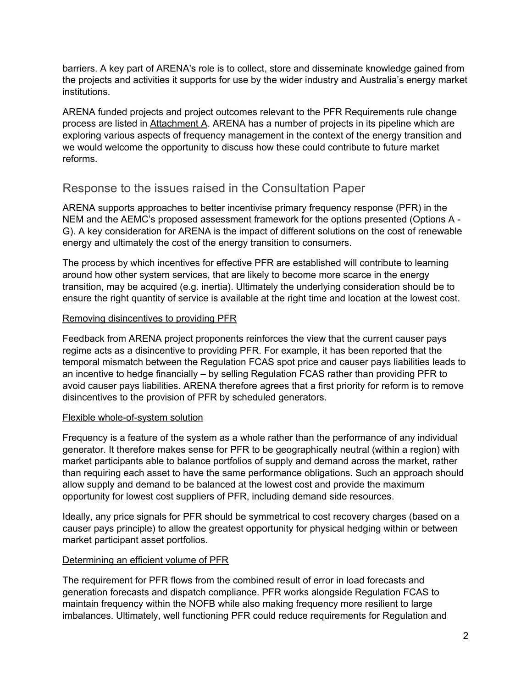barriers. A key part of ARENA's role is to collect, store and disseminate knowledge gained from the projects and activities it supports for use by the wider industry and Australia's energy market institutions.

ARENA funded projects and project outcomes relevant to the PFR Requirements rule change process are listed in Attachment A. ARENA has a number of projects in its pipeline which are exploring various aspects of frequency management in the context of the energy transition and we would welcome the opportunity to discuss how these could contribute to future market reforms.

# Response to the issues raised in the Consultation Paper

ARENA supports approaches to better incentivise primary frequency response (PFR) in the NEM and the AEMC's proposed assessment framework for the options presented (Options A - G). A key consideration for ARENA is the impact of different solutions on the cost of renewable energy and ultimately the cost of the energy transition to consumers.

The process by which incentives for effective PFR are established will contribute to learning around how other system services, that are likely to become more scarce in the energy transition, may be acquired (e.g. inertia). Ultimately the underlying consideration should be to ensure the right quantity of service is available at the right time and location at the lowest cost.

## Removing disincentives to providing PFR

Feedback from ARENA project proponents reinforces the view that the current causer pays regime acts as a disincentive to providing PFR. For example, it has been reported that the temporal mismatch between the Regulation FCAS spot price and causer pays liabilities leads to an incentive to hedge financially – by selling Regulation FCAS rather than providing PFR to avoid causer pays liabilities. ARENA therefore agrees that a first priority for reform is to remove disincentives to the provision of PFR by scheduled generators.

## Flexible whole-of-system solution

Frequency is a feature of the system as a whole rather than the performance of any individual generator. It therefore makes sense for PFR to be geographically neutral (within a region) with market participants able to balance portfolios of supply and demand across the market, rather than requiring each asset to have the same performance obligations. Such an approach should allow supply and demand to be balanced at the lowest cost and provide the maximum opportunity for lowest cost suppliers of PFR, including demand side resources.

Ideally, any price signals for PFR should be symmetrical to cost recovery charges (based on a causer pays principle) to allow the greatest opportunity for physical hedging within or between market participant asset portfolios.

## Determining an efficient volume of PFR

The requirement for PFR flows from the combined result of error in load forecasts and generation forecasts and dispatch compliance. PFR works alongside Regulation FCAS to maintain frequency within the NOFB while also making frequency more resilient to large imbalances. Ultimately, well functioning PFR could reduce requirements for Regulation and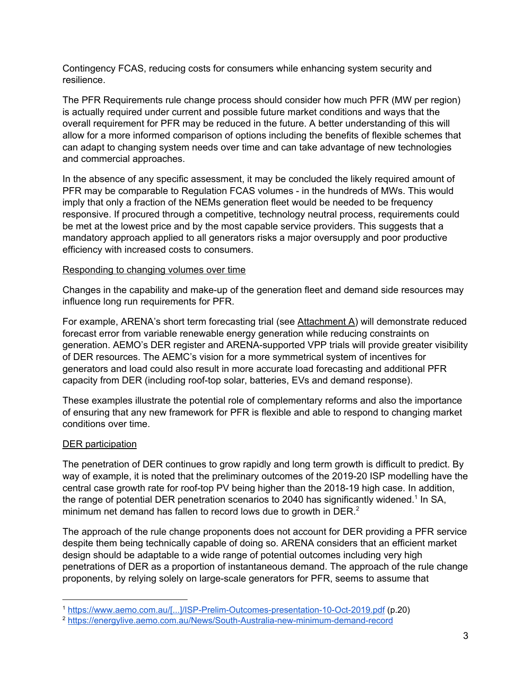Contingency FCAS, reducing costs for consumers while enhancing system security and resilience.

The PFR Requirements rule change process should consider how much PFR (MW per region) is actually required under current and possible future market conditions and ways that the overall requirement for PFR may be reduced in the future. A better understanding of this will allow for a more informed comparison of options including the benefits of flexible schemes that can adapt to changing system needs over time and can take advantage of new technologies and commercial approaches.

In the absence of any specific assessment, it may be concluded the likely required amount of PFR may be comparable to Regulation FCAS volumes - in the hundreds of MWs. This would imply that only a fraction of the NEMs generation fleet would be needed to be frequency responsive. If procured through a competitive, technology neutral process, requirements could be met at the lowest price and by the most capable service providers. This suggests that a mandatory approach applied to all generators risks a major oversupply and poor productive efficiency with increased costs to consumers.

#### Responding to changing volumes over time

Changes in the capability and make-up of the generation fleet and demand side resources may influence long run requirements for PFR.

For example, ARENA's short term forecasting trial (see Attachment A) will demonstrate reduced forecast error from variable renewable energy generation while reducing constraints on generation. AEMO's DER register and ARENA-supported VPP trials will provide greater visibility of DER resources. The AEMC's vision for a more symmetrical system of incentives for generators and load could also result in more accurate load forecasting and additional PFR capacity from DER (including roof-top solar, batteries, EVs and demand response).

These examples illustrate the potential role of complementary reforms and also the importance of ensuring that any new framework for PFR is flexible and able to respond to changing market conditions over time.

#### DER participation

The penetration of DER continues to grow rapidly and long term growth is difficult to predict. By way of example, it is noted that the preliminary outcomes of the 2019-20 ISP modelling have the central case growth rate for roof-top PV being higher than the 2018-19 high case. In addition, the range of potential DER penetration scenarios to 2040 has significantly widened.<sup>1</sup> In SA, minimum net demand has fallen to record lows due to growth in DER. $<sup>2</sup>$ </sup>

The approach of the rule change proponents does not account for DER providing a PFR service despite them being technically capable of doing so. ARENA considers that an efficient market design should be adaptable to a wide range of potential outcomes including very high penetrations of DER as a proportion of instantaneous demand. The approach of the rule change proponents, by relying solely on large-scale generators for PFR, seems to assume that

<sup>1</sup> [https://www.aemo.com.au/\[...\]/ISP-Prelim-Outcomes-presentation-10-Oct-2019.pdf](https://www.aemo.com.au/-/media/Files/Electricity/NEM/Planning_and_Forecasting/ISP/2019/ISP-Prelim-Outcomes-presentation-10-Oct-2019.pdf) (p.20)

<sup>2</sup> <https://energylive.aemo.com.au/News/South-Australia-new-minimum-demand-record>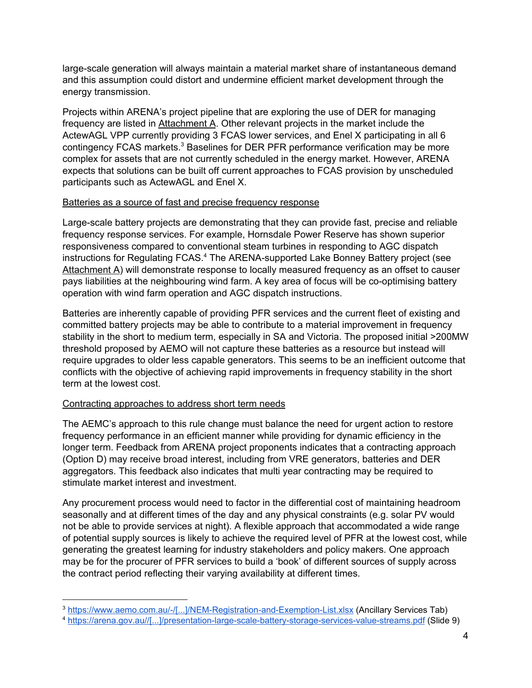large-scale generation will always maintain a material market share of instantaneous demand and this assumption could distort and undermine efficient market development through the energy transmission.

Projects within ARENA's project pipeline that are exploring the use of DER for managing frequency are listed in Attachment A. Other relevant projects in the market include the ActewAGL VPP currently providing 3 FCAS lower services, and Enel X participating in all 6 contingency FCAS markets. $3$  Baselines for DER PFR performance verification may be more complex for assets that are not currently scheduled in the energy market. However, ARENA expects that solutions can be built off current approaches to FCAS provision by unscheduled participants such as ActewAGL and Enel X.

#### Batteries as a source of fast and precise frequency response

Large-scale battery projects are demonstrating that they can provide fast, precise and reliable frequency response services. For example, Hornsdale Power Reserve has shown superior responsiveness compared to conventional steam turbines in responding to AGC dispatch instructions for Regulating FCAS.<sup>4</sup> The ARENA-supported Lake Bonney Battery project (see Attachment A) will demonstrate response to locally measured frequency as an offset to causer pays liabilities at the neighbouring wind farm. A key area of focus will be co-optimising battery operation with wind farm operation and AGC dispatch instructions.

Batteries are inherently capable of providing PFR services and the current fleet of existing and committed battery projects may be able to contribute to a material improvement in frequency stability in the short to medium term, especially in SA and Victoria. The proposed initial >200MW threshold proposed by AEMO will not capture these batteries as a resource but instead will require upgrades to older less capable generators. This seems to be an inefficient outcome that conflicts with the objective of achieving rapid improvements in frequency stability in the short term at the lowest cost.

## Contracting approaches to address short term needs

The AEMC's approach to this rule change must balance the need for urgent action to restore frequency performance in an efficient manner while providing for dynamic efficiency in the longer term. Feedback from ARENA project proponents indicates that a contracting approach (Option D) may receive broad interest, including from VRE generators, batteries and DER aggregators. This feedback also indicates that multi year contracting may be required to stimulate market interest and investment.

Any procurement process would need to factor in the differential cost of maintaining headroom seasonally and at different times of the day and any physical constraints (e.g. solar PV would not be able to provide services at night). A flexible approach that accommodated a wide range of potential supply sources is likely to achieve the required level of PFR at the lowest cost, while generating the greatest learning for industry stakeholders and policy makers. One approach may be for the procurer of PFR services to build a 'book' of different sources of supply across the contract period reflecting their varying availability at different times.

<sup>3</sup> [https://www.aemo.com.au/-/\[...\]/NEM-Registration-and-Exemption-List.xlsx](https://www.aemo.com.au/-/[...]/NEM-Registration-and-Exemption-List.xlsx) (Ancillary Services Tab)

<sup>4</sup> [https://arena.gov.au//\[...\]/presentation-large-scale-battery-storage-services-value-streams.pdf](https://arena.gov.au/assets/2019/07/presentation-large-scale-battery-storage-services-value-streams.pdf) (Slide 9)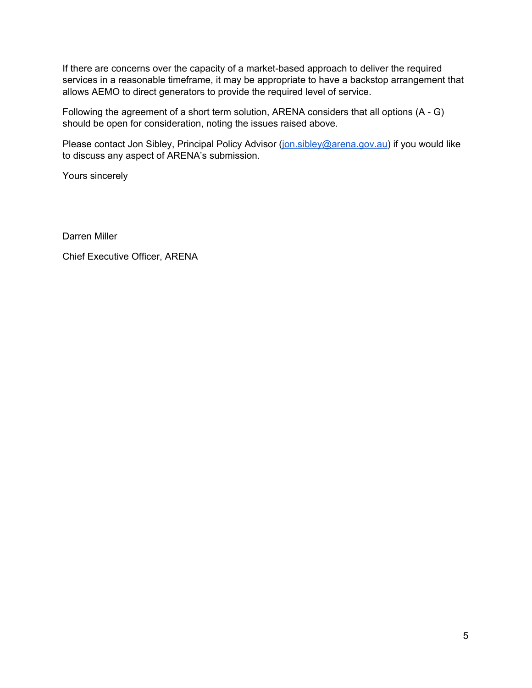If there are concerns over the capacity of a market-based approach to deliver the required services in a reasonable timeframe, it may be appropriate to have a backstop arrangement that allows AEMO to direct generators to provide the required level of service.

Following the agreement of a short term solution, ARENA considers that all options (A - G) should be open for consideration, noting the issues raised above.

Please contact Jon Sibley, Principal Policy Advisor ([jon.sibley@arena.gov.au](mailto:jon.sibley@arena.gov.au)) if you would like to discuss any aspect of ARENA's submission.

Yours sincerely

Darren Miller

Chief Executive Officer, ARENA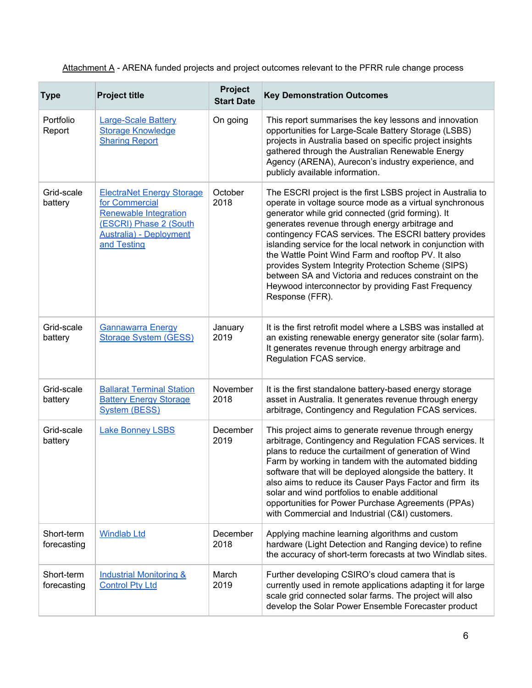Attachment A - ARENA funded projects and project outcomes relevant to the PFRR rule change process

| <b>Type</b>               | <b>Project title</b>                                                                                                                                           | <b>Project</b><br><b>Start Date</b> | <b>Key Demonstration Outcomes</b>                                                                                                                                                                                                                                                                                                                                                                                                                                                                                                                                                                   |
|---------------------------|----------------------------------------------------------------------------------------------------------------------------------------------------------------|-------------------------------------|-----------------------------------------------------------------------------------------------------------------------------------------------------------------------------------------------------------------------------------------------------------------------------------------------------------------------------------------------------------------------------------------------------------------------------------------------------------------------------------------------------------------------------------------------------------------------------------------------------|
| Portfolio<br>Report       | <b>Large-Scale Battery</b><br><b>Storage Knowledge</b><br><b>Sharing Report</b>                                                                                | On going                            | This report summarises the key lessons and innovation<br>opportunities for Large-Scale Battery Storage (LSBS)<br>projects in Australia based on specific project insights<br>gathered through the Australian Renewable Energy<br>Agency (ARENA), Aurecon's industry experience, and<br>publicly available information.                                                                                                                                                                                                                                                                              |
| Grid-scale<br>battery     | <b>ElectraNet Energy Storage</b><br>for Commercial<br><b>Renewable Integration</b><br>(ESCRI) Phase 2 (South<br><b>Australia</b> ) - Deployment<br>and Testing | October<br>2018                     | The ESCRI project is the first LSBS project in Australia to<br>operate in voltage source mode as a virtual synchronous<br>generator while grid connected (grid forming). It<br>generates revenue through energy arbitrage and<br>contingency FCAS services. The ESCRI battery provides<br>islanding service for the local network in conjunction with<br>the Wattle Point Wind Farm and rooftop PV. It also<br>provides System Integrity Protection Scheme (SIPS)<br>between SA and Victoria and reduces constraint on the<br>Heywood interconnector by providing Fast Frequency<br>Response (FFR). |
| Grid-scale<br>battery     | <b>Gannawarra Energy</b><br><b>Storage System (GESS)</b>                                                                                                       | January<br>2019                     | It is the first retrofit model where a LSBS was installed at<br>an existing renewable energy generator site (solar farm).<br>It generates revenue through energy arbitrage and<br>Regulation FCAS service.                                                                                                                                                                                                                                                                                                                                                                                          |
| Grid-scale<br>battery     | <b>Ballarat Terminal Station</b><br><b>Battery Energy Storage</b><br><b>System (BESS)</b>                                                                      | November<br>2018                    | It is the first standalone battery-based energy storage<br>asset in Australia. It generates revenue through energy<br>arbitrage, Contingency and Regulation FCAS services.                                                                                                                                                                                                                                                                                                                                                                                                                          |
| Grid-scale<br>battery     | <b>Lake Bonney LSBS</b>                                                                                                                                        | December<br>2019                    | This project aims to generate revenue through energy<br>arbitrage, Contingency and Regulation FCAS services. It<br>plans to reduce the curtailment of generation of Wind<br>Farm by working in tandem with the automated bidding<br>software that will be deployed alongside the battery. It<br>also aims to reduce its Causer Pays Factor and firm its<br>solar and wind portfolios to enable additional<br>opportunities for Power Purchase Agreements (PPAs)<br>with Commercial and Industrial (C&I) customers.                                                                                  |
| Short-term<br>forecasting | <b>Windlab Ltd</b>                                                                                                                                             | December<br>2018                    | Applying machine learning algorithms and custom<br>hardware (Light Detection and Ranging device) to refine<br>the accuracy of short-term forecasts at two Windlab sites.                                                                                                                                                                                                                                                                                                                                                                                                                            |
| Short-term<br>forecasting | <b>Industrial Monitoring &amp;</b><br><b>Control Pty Ltd</b>                                                                                                   | March<br>2019                       | Further developing CSIRO's cloud camera that is<br>currently used in remote applications adapting it for large<br>scale grid connected solar farms. The project will also<br>develop the Solar Power Ensemble Forecaster product                                                                                                                                                                                                                                                                                                                                                                    |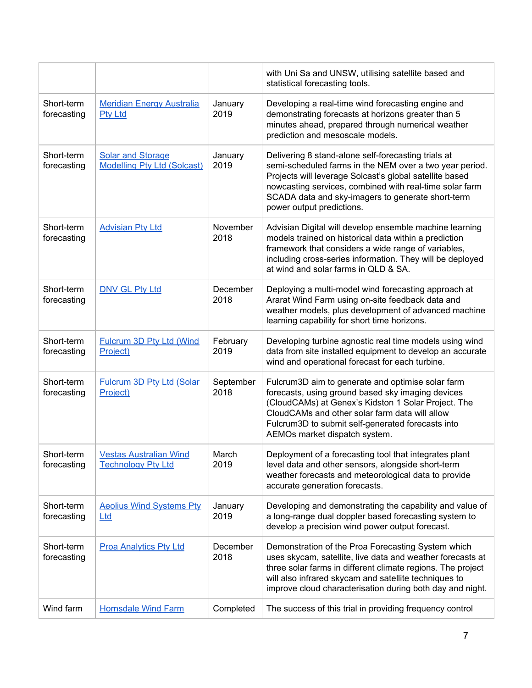|                           |                                                                |                   | with Uni Sa and UNSW, utilising satellite based and<br>statistical forecasting tools.                                                                                                                                                                                                                                  |
|---------------------------|----------------------------------------------------------------|-------------------|------------------------------------------------------------------------------------------------------------------------------------------------------------------------------------------------------------------------------------------------------------------------------------------------------------------------|
| Short-term<br>forecasting | <b>Meridian Energy Australia</b><br><b>Pty Ltd</b>             | January<br>2019   | Developing a real-time wind forecasting engine and<br>demonstrating forecasts at horizons greater than 5<br>minutes ahead, prepared through numerical weather<br>prediction and mesoscale models.                                                                                                                      |
| Short-term<br>forecasting | <b>Solar and Storage</b><br><b>Modelling Pty Ltd (Solcast)</b> | January<br>2019   | Delivering 8 stand-alone self-forecasting trials at<br>semi-scheduled farms in the NEM over a two year period.<br>Projects will leverage Solcast's global satellite based<br>nowcasting services, combined with real-time solar farm<br>SCADA data and sky-imagers to generate short-term<br>power output predictions. |
| Short-term<br>forecasting | <b>Advisian Pty Ltd</b>                                        | November<br>2018  | Advisian Digital will develop ensemble machine learning<br>models trained on historical data within a prediction<br>framework that considers a wide range of variables,<br>including cross-series information. They will be deployed<br>at wind and solar farms in QLD & SA.                                           |
| Short-term<br>forecasting | <b>DNV GL Pty Ltd</b>                                          | December<br>2018  | Deploying a multi-model wind forecasting approach at<br>Ararat Wind Farm using on-site feedback data and<br>weather models, plus development of advanced machine<br>learning capability for short time horizons.                                                                                                       |
| Short-term<br>forecasting | <b>Fulcrum 3D Pty Ltd (Wind</b><br>Project)                    | February<br>2019  | Developing turbine agnostic real time models using wind<br>data from site installed equipment to develop an accurate<br>wind and operational forecast for each turbine.                                                                                                                                                |
| Short-term<br>forecasting | Fulcrum 3D Pty Ltd (Solar<br>Project)                          | September<br>2018 | Fulcrum3D aim to generate and optimise solar farm<br>forecasts, using ground based sky imaging devices<br>(CloudCAMs) at Genex's Kidston 1 Solar Project. The<br>CloudCAMs and other solar farm data will allow<br>Fulcrum3D to submit self-generated forecasts into<br>AEMOs market dispatch system.                  |
| Short-term<br>forecasting | <b>Vestas Australian Wind</b><br><b>Technology Pty Ltd</b>     | March<br>2019     | Deployment of a forecasting tool that integrates plant<br>level data and other sensors, alongside short-term<br>weather forecasts and meteorological data to provide<br>accurate generation forecasts.                                                                                                                 |
| Short-term<br>forecasting | <b>Aeolius Wind Systems Pty</b><br>Ltd                         | January<br>2019   | Developing and demonstrating the capability and value of<br>a long-range dual doppler based forecasting system to<br>develop a precision wind power output forecast.                                                                                                                                                   |
| Short-term<br>forecasting | <b>Proa Analytics Pty Ltd</b>                                  | December<br>2018  | Demonstration of the Proa Forecasting System which<br>uses skycam, satellite, live data and weather forecasts at<br>three solar farms in different climate regions. The project<br>will also infrared skycam and satellite techniques to<br>improve cloud characterisation during both day and night.                  |
| Wind farm                 | <b>Hornsdale Wind Farm</b>                                     | Completed         | The success of this trial in providing frequency control                                                                                                                                                                                                                                                               |